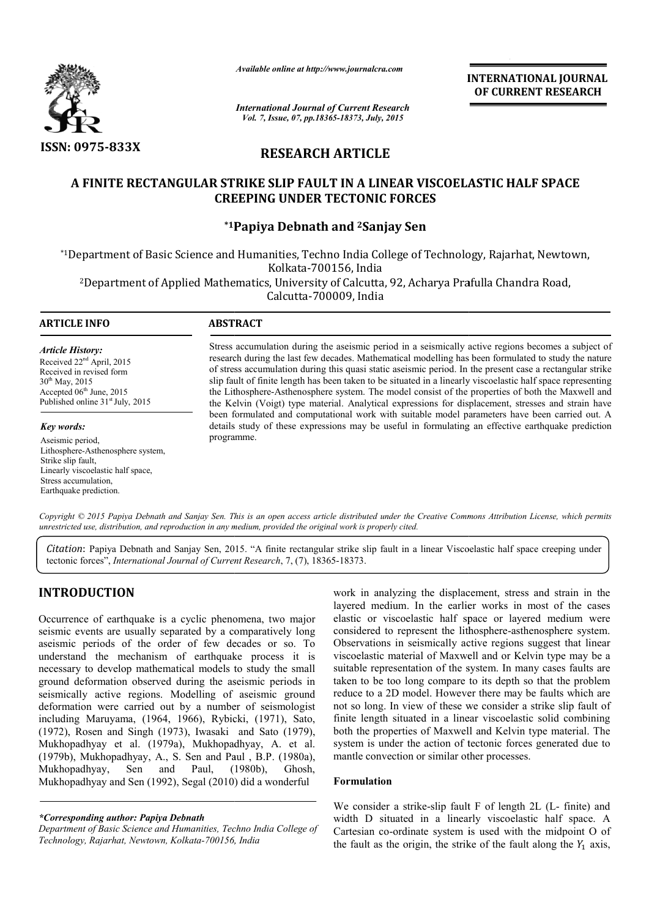

*Available online at http://www.journalcra.com*

INTERNATIONAL INTERNATIONAL JOURNAL OF CURRENT RESEARCH

*International Journal of Current Research Vol. 7, Issue, 07, pp.18365-18373, July, 2015*

# RESEARCH ARTICLE

# A FINITE RECTANGULAR STRIKE SLIP FAULT IN A LINEAR VISCOELASTIC HALF SPACE CREEPING UNDER TECTONIC FORCES

# \*1Papiya Debnath and <sup>2</sup>Sanjay Sen

\*1Department of Basic Science and Humanities, Techno India College of Technology, Rajarhat, Newtown, Department Kolkata-700156, India

<sup>2</sup>Department of Applied Mathematics, University of Calcutta, 92, Acharya Prafulla Chandra Road,<br>Calcutta-700009, India

1

# ARTICLE INFO ABSTRACT

*Article History:* Received 22nd April, 2015 Received in revised form  $30<sup>th</sup>$  May, 2015 Accepted 06<sup>th</sup> June, 2015 Published online  $31<sup>st</sup>$  July, 2015

#### *Key words:*

Aseismic period, Lithosphere-Asthenosphere system, Strike slip fault, Linearly viscoelastic half space, Stress accumulation, Earthquake prediction.

Stress accumulation during the aseismic period in a seismically active regions becomes a subject of research during the last few decades. Mathematical modelling has been formulated to study the nature of stress accumulation during this quasi static aseismic period. In the present case a rectangular strike slip fault of finite length has been taken to be situated in a linearly viscoelastic half space representing the Lithosphere Lithosphere-Asthenosphere system. The model consist of the properties of both the Maxwell and the Kelvin (Voigt) type material. Analytical expressions for displacement, s been formulated and computational work with suitable model parameters have been carried out. A been formulated and computational work with suitable model parameters have been carried out. A details study of these expressions may be useful in formulating an effective earthquake prediction programme. the last few decades. Mathematical modelling has been formulated to study the nature lation during this quasi static aseismic period. In the present case a rectangular strike e length has been taken to be situated in a lin

Copyright © 2015 Papiya Debnath and Sanjay Sen. This is an open access article distributed under the Creative Commons Attribution License, which permits *unrestricted use, distribution, and reproduction in any medium, provided the original work is properly cited.*

*Citation*: Papiya Debnath and Sanjay Sen, 2015. "A finite rectangular strike slip fault in a linear Viscoelastic half space creeping under tectonic forces", *International Journal of Current Research* , 7, (7), 18365-18373.

# INTRODUCTION

Occurrence of earthquake is a cyclic phenomena, two major seismic events are usually separated by a comparatively long aseismic periods of the order of few decades or so. To understand the mechanism of earthquake process it is necessary to develop mathematical models to study the small ground deformation observed during the aseismic periods in seismically active regions. Modelling of aseismic ground deformation were carried out by a number of seismologist including Maruyama, (1964, 1966), Rybicki, (1971), Sato, (1972), Rosen and Singh (1973), Iwasaki Mukhopadhyay et al. (1979a), Mukhopadhyay, A. et al. (1979b), Mukhopadhyay, A., S. Sen and Paul , B.P. (1980a), Mukhopadhyay, Sen and Paul, (1980b), Ghosh, Mukhopadhyay and Sen (1992), Segal (2010) did a wonderful atthquake process it is<br>models to study the small<br>g the aseismic periods in<br>ing of aseismic ground<br>number of seismologist<br>, Rybicki, (1971), Sato,<br>wasaki and Sato (1979),

*\*Corresponding author: Papiya Debnath* 

*Department of Basic Science and Humanities, Techno India College of Technology, Rajarhat, Newtown, Kolkata-700156, India* 

**70011 70011** *700016 Theoremony 70016 Theoremony 70016 Theoremony 70016 Theoremony* **<b>7** *7001656, 7001616 7001616 7001616 7001616 7001616 7001616 7001616 701601616 701601616 701601616* layered medium. In the earlier works in most of the cases elastic or viscoelastic half space or layered medium were considered to represent the lithosphere-asthenosphere system. Observations in seismically active regions suggest that linear viscoelastic material of Maxwell and or Kelvin type may be a suitable representation of the system. In many cases faults are taken to be too long compare to its depth so that the problem reduce to a 2D model. However there may be faults which are not so long. In view of these we consider a strike slip fault of finite length situated in a linear viscoelastic solid combining both the properties of Maxwell and Kelvin type material. The system is under the action of tectonic forces generated due to mantle convection or similar other processes. medium. In the earlier works in most of the cases<br>or viscoelastic half space or layered medium were<br>ed to represent the lithosphere-asthenosphere system. Observations in seismically active regions suggest that linear viscoelastic material of Maxwell and or Kelvin type may be a suitable representation of the system. In many cases faults are taken to be too long compare to it

#### Formulation

We consider a strike-slip fault  $F$  of length  $2L$  (L-finite) and width D situated in a linearly viscoelastic half space. A Cartesian co-ordinate system is used with the midpoint O of Cartesian co-ordinate system is used with the midpoint O of the fault as the origin, the strike of the fault along the  $Y_1$  axis,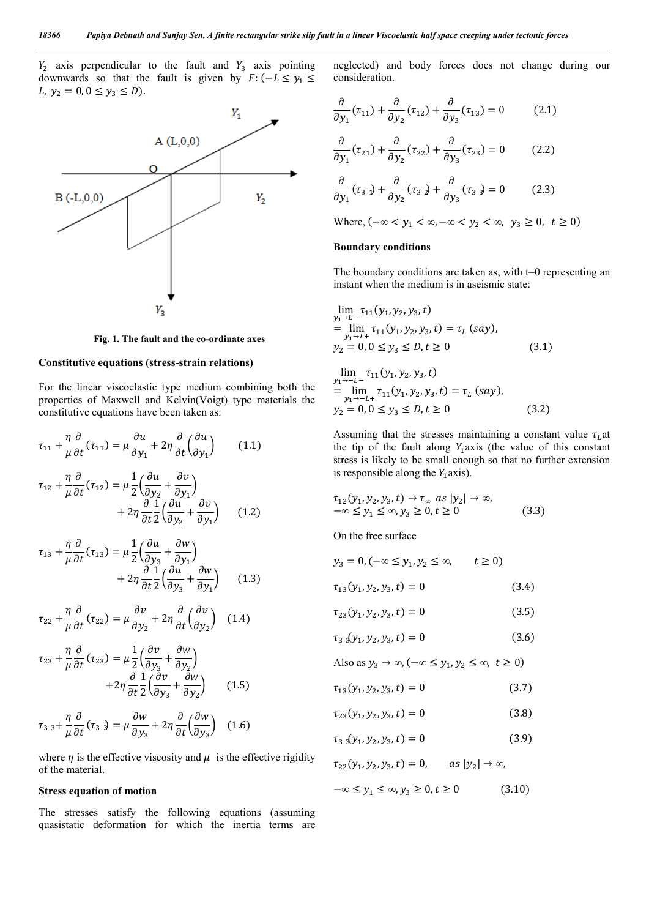$Y_2$  axis perpendicular to the fault and  $Y_3$  axis pointing downwards so that the fault is given by  $F: (-L \le y_1 \le$ L,  $y_2 = 0, 0 \le y_3 \le D$ .



Fig. 1. The fault and the co-ordinate axes

# Constitutive equations (stress-strain relations)

For the linear viscoelastic type medium combining both the properties of Maxwell and Kelvin(Voigt) type materials the constitutive equations have been taken as:

$$
\tau_{11} + \frac{\eta}{\mu} \frac{\partial}{\partial t} (\tau_{11}) = \mu \frac{\partial u}{\partial y_1} + 2\eta \frac{\partial}{\partial t} \left( \frac{\partial u}{\partial y_1} \right) \tag{1.1}
$$

$$
\tau_{12} + \frac{\eta}{\mu} \frac{\partial}{\partial t} (\tau_{12}) = \mu \frac{1}{2} \left( \frac{\partial u}{\partial y_2} + \frac{\partial v}{\partial y_1} \right) \n+ 2\eta \frac{\partial}{\partial t} \frac{1}{2} \left( \frac{\partial u}{\partial y_2} + \frac{\partial v}{\partial y_1} \right)
$$
\n(1.2)

$$
\tau_{13} + \frac{\eta}{\mu} \frac{\partial}{\partial t} (\tau_{13}) = \mu \frac{1}{2} \left( \frac{\partial u}{\partial y_3} + \frac{\partial w}{\partial y_1} \right) + 2\eta \frac{\partial}{\partial t} \frac{1}{2} \left( \frac{\partial u}{\partial y_3} + \frac{\partial w}{\partial y_1} \right)
$$
(1.3)

$$
\tau_{22} + \frac{\eta}{\mu} \frac{\partial}{\partial t} (\tau_{22}) = \mu \frac{\partial v}{\partial y_2} + 2\eta \frac{\partial}{\partial t} \left( \frac{\partial v}{\partial y_2} \right) \quad (1.4)
$$

$$
\tau_{23} + \frac{\eta}{\mu} \frac{\partial}{\partial t} (\tau_{23}) = \mu \frac{1}{2} \left( \frac{\partial v}{\partial y_3} + \frac{\partial w}{\partial y_2} \right) \n+ 2\eta \frac{\partial}{\partial t} \frac{1}{2} \left( \frac{\partial v}{\partial y_3} + \frac{\partial w}{\partial y_2} \right)
$$
\n(1.5)

$$
\tau_{33} + \frac{\eta}{\mu} \frac{\partial}{\partial t} (\tau_{33}) = \mu \frac{\partial w}{\partial y_3} + 2\eta \frac{\partial}{\partial t} \left(\frac{\partial w}{\partial y_3}\right) \tag{1.6}
$$

where  $\eta$  is the effective viscosity and  $\mu$  is the effective rigidity of the material.

#### Stress equation of motion

The stresses satisfy the following equations (assuming quasistatic deformation for which the inertia terms are neglected) and body forces does not change during our consideration.

$$
\frac{\partial}{\partial y_1}(\tau_{11}) + \frac{\partial}{\partial y_2}(\tau_{12}) + \frac{\partial}{\partial y_3}(\tau_{13}) = 0 \tag{2.1}
$$

$$
\frac{\partial}{\partial y_1}(\tau_{21}) + \frac{\partial}{\partial y_2}(\tau_{22}) + \frac{\partial}{\partial y_3}(\tau_{23}) = 0 \tag{2.2}
$$

$$
\frac{\partial}{\partial y_1}(\tau_{31}) + \frac{\partial}{\partial y_2}(\tau_{32}) + \frac{\partial}{\partial y_3}(\tau_{33}) = 0 \tag{2.3}
$$

Where, 
$$
(-\infty < y_1 < \infty, -\infty < y_2 < \infty, y_3 \ge 0, t \ge 0)
$$

#### Boundary conditions

The boundary conditions are taken as, with  $t=0$  representing an instant when the medium is in aseismic state:

$$
\lim_{y_1 \to L^-} \tau_{11}(y_1, y_2, y_3, t)
$$
\n
$$
= \lim_{y_1 \to L^+} \tau_{11}(y_1, y_2, y_3, t) = \tau_L \text{ (say)},
$$
\n
$$
y_2 = 0, 0 \le y_3 \le D, t \ge 0
$$
\n(3.1)

$$
\lim_{y_1 \to -L^-} \tau_{11}(y_1, y_2, y_3, t)
$$
\n
$$
= \lim_{y_1 \to -L^+} \tau_{11}(y_1, y_2, y_3, t) = \tau_L (say),
$$
\n
$$
y_2 = 0, 0 \le y_3 \le D, t \ge 0
$$
\n(3.2)

Assuming that the stresses maintaining a constant value  $\tau_L$  at the tip of the fault along  $Y_1$  axis (the value of this constant stress is likely to be small enough so that no further extension is responsible along the  $Y_1$  axis).

$$
\tau_{12}(y_1, y_2, y_3, t) \rightarrow \tau_\infty \text{ as } |y_2| \rightarrow \infty,
$$
  

$$
-\infty \le y_1 \le \infty, y_3 \ge 0, t \ge 0
$$
 (3.3)

On the free surface

$$
y_3 = 0, (-\infty \le y_1, y_2 \le \infty, \qquad t \ge 0)
$$

$$
\tau_{13}(y_1, y_2, y_3, t) = 0 \tag{3.4}
$$

$$
\tau_{23}(y_1, y_2, y_3, t) = 0 \tag{3.5}
$$

$$
\tau_{33}(y_1, y_2, y_3, t) = 0 \tag{3.6}
$$

Also as 
$$
y_3 \to \infty
$$
,  $(-\infty \le y_1, y_2 \le \infty, t \ge 0)$ 

$$
\tau_{13}(y_1, y_2, y_3, t) = 0 \tag{3.7}
$$

$$
\tau_{23}(y_1, y_2, y_3, t) = 0 \tag{3.8}
$$

$$
\tau_{33}(y_1, y_2, y_3, t) = 0 \tag{3.9}
$$

 $\tau_{22}(y_1, y_2, y_3, t) = 0, \quad \text{as } |y_2| \to \infty,$ 

$$
-\infty \le y_1 \le \infty, y_3 \ge 0, t \ge 0 \tag{3.10}
$$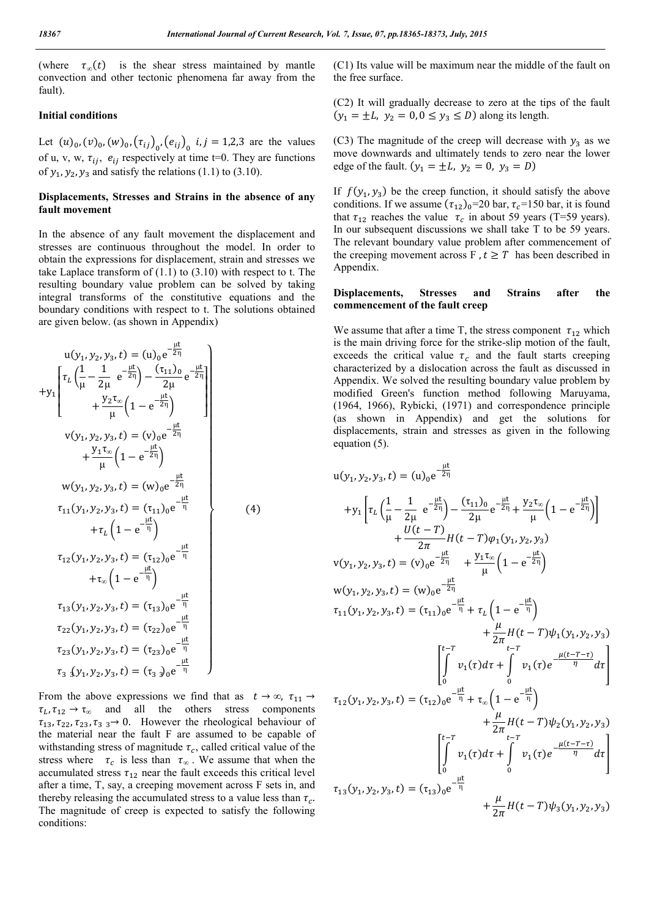(where  $\tau_{\infty}(t)$  is the shear stress maintained by mantle convection and other tectonic phenomena far away from the fault).

#### Initial conditions

Let  $(u)_{0}$ ,  $(v)_{0}$ ,  $(w)_{0}$ ,  $(\tau_{ij})_{0}$ ,  $(e_{ij})_{0}$ ,  $i, j = 1, 2, 3$  are the values of u, v, w,  $\tau_{ij}$ ,  $e_{ij}$  respectively at time t=0. They are functions of  $y_1$ ,  $y_2$ ,  $y_3$  and satisfy the relations (1.1) to (3.10).

# Displacements, Stresses and Strains in the absence of any fault movement

In the absence of any fault movement the displacement and stresses are continuous throughout the model. In order to obtain the expressions for displacement, strain and stresses we take Laplace transform of  $(1.1)$  to  $(3.10)$  with respect to t. The resulting boundary value problem can be solved by taking integral transforms of the constitutive equations and the boundary conditions with respect to t. The solutions obtained are given below. (as shown in Appendix)

$$
u(y_1, y_2, y_3, t) = (u)_{0}e^{-\frac{\mu t}{2\eta}}
$$
  
+
$$
y_1\begin{bmatrix} \tau_L \left(\frac{1}{\mu} - \frac{1}{2\mu} e^{-\frac{\mu t}{2\eta}}\right) - \frac{(\tau_{11})_{0}}{2\mu} e^{-\frac{\mu t}{2\eta}} \\ + \frac{y_2 \tau_{\infty}}{\mu} \left(1 - e^{-\frac{\mu t}{2\eta}}\right) \end{bmatrix}
$$
  

$$
v(y_1, y_2, y_3, t) = (v)_{0}e^{-\frac{\mu t}{2\eta}}
$$
  
+
$$
\frac{y_1 \tau_{\infty}}{\mu} \left(1 - e^{-\frac{\mu t}{2\eta}}\right)
$$
  

$$
w(y_1, y_2, y_3, t) = (w)_{0}e^{-\frac{\mu t}{2\eta}}
$$
  

$$
\tau_{11}(y_1, y_2, y_3, t) = (\tau_{11})_{0}e^{-\frac{\mu t}{\eta}}
$$
  
+
$$
\tau_L \left(1 - e^{-\frac{\mu t}{\eta}}\right)
$$
  

$$
\tau_{12}(y_1, y_2, y_3, t) = (\tau_{12})_{0}e^{-\frac{\mu t}{\eta}}
$$
  
+
$$
\tau_{\infty} \left(1 - e^{-\frac{\mu t}{\eta}}\right)
$$
  

$$
\tau_{13}(y_1, y_2, y_3, t) = (\tau_{13})_{0}e^{-\frac{\mu t}{\eta}}
$$
  

$$
\tau_{23}(y_1, y_2, y_3, t) = (\tau_{23})_{0}e^{-\frac{\mu t}{\eta}}
$$
  

$$
\tau_{33}(y_1, y_2, y_3, t) = (\tau_{33})_{0}e^{-\frac{\mu t}{\eta}}
$$
  

$$
\tau_{33}(y_1, y_2, y_3, t) = (\tau_{33})_{0}e^{-\frac{\mu t}{\eta}}
$$

From the above expressions we find that as  $t \to \infty$ ,  $\tau_{11} \to$  $\tau_L, \tau_{12} \rightarrow \tau_{\infty}$  and all the others stress components  $\tau_{13}, \tau_{22}, \tau_{23}, \tau_{33} \rightarrow 0$ . However the rheological behaviour of the material near the fault F are assumed to be capable of withstanding stress of magnitude  $\tau_c$ , called critical value of the stress where  $\tau_c$  is less than  $\tau_\infty$ . We assume that when the accumulated stress  $\tau_{12}$  near the fault exceeds this critical level after a time, T, say, a creeping movement across F sets in, and thereby releasing the accumulated stress to a value less than  $\tau_c$ . The magnitude of creep is expected to satisfy the following conditions:

(C1) Its value will be maximum near the middle of the fault on the free surface.

(C2) It will gradually decrease to zero at the tips of the fault  $(y_1 = \pm L, y_2 = 0, 0 \le y_3 \le D)$  along its length.

(C3) The magnitude of the creep will decrease with  $y_3$  as we move downwards and ultimately tends to zero near the lower edge of the fault.  $(y_1 = \pm L, y_2 = 0, y_3 = D)$ 

If  $f(y_1, y_3)$  be the creep function, it should satisfy the above conditions. If we assume  $(\tau_{12})_0$ =20 bar,  $\tau_c$ =150 bar, it is found that  $\tau_{12}$  reaches the value  $\tau_c$  in about 59 years (T=59 years). In our subsequent discussions we shall take T to be 59 years. The relevant boundary value problem after commencement of the creeping movement across F,  $t \geq T$  has been described in Appendix.

## Displacements, Stresses and Strains after the commencement of the fault creep

We assume that after a time T, the stress component  $\tau_{12}$  which is the main driving force for the strike-slip motion of the fault, exceeds the critical value  $\tau_c$  and the fault starts creeping characterized by a dislocation across the fault as discussed in Appendix. We solved the resulting boundary value problem by modified Green's function method following Maruyama, (1964, 1966), Rybicki, (1971) and correspondence principle (as shown in Appendix) and get the solutions for displacements, strain and stresses as given in the following equation (5).

$$
u(y_1, y_2, y_3, t) = (u)_0 e^{-\frac{it}{2\eta}}
$$
  
+ $y_1 \left[ \tau_L \left( \frac{1}{\mu} - \frac{1}{2\mu} e^{-\frac{\mu t}{2\eta}} \right) - \frac{(\tau_{11})_0}{2\mu} e^{-\frac{\mu t}{2\eta}} + \frac{y_2 \tau_{\infty}}{\mu} \left( 1 - e^{-\frac{\mu t}{2\eta}} \right) \right]$   
+ $\frac{U(t - T)}{2\pi} H(t - T) \varphi_1(y_1, y_2, y_3)$   
 $v(y_1, y_2, y_3, t) = (v)_0 e^{-\frac{\mu t}{2\eta}} + \frac{y_1 \tau_{\infty}}{\mu} \left( 1 - e^{-\frac{\mu t}{2\eta}} \right)$   
 $w(y_1, y_2, y_3, t) = (w)_0 e^{-\frac{\mu t}{2\eta}}$   
 $\tau_{11}(y_1, y_2, y_3, t) = (\tau_{11})_0 e^{-\frac{\mu t}{\eta}} + \tau_L \left( 1 - e^{-\frac{\mu t}{\eta}} \right)$   
+ $\frac{\mu}{2\pi} H(t - T) \psi_1(y_1, y_2, y_3)$   
 $\left[ \int_0^{t - T} v_1(\tau) d\tau + \int_0^{t - T} v_1(\tau) e^{-\frac{\mu (t - T - \tau)}{\eta}} d\tau \right]$   
 $\tau_{12}(y_1, y_2, y_3, t) = (\tau_{12})_0 e^{-\frac{\mu t}{\eta}} + \tau_{\infty} \left( 1 - e^{-\frac{\mu t}{\eta}} \right)$   
+ $\frac{\mu}{2\pi} H(t - T) \psi_2(y_1, y_2, y_3)$   
 $\left[ \int_0^{t - T} v_1(\tau) d\tau + \int_0^{t - T} v_1(\tau) e^{-\frac{\mu (t - T - \tau)}{\eta}} d\tau \right]$   
 $\tau_{13}(y_1, y_2, y_3, t) = (\tau_{13})_0 e^{-\frac{\mu t}{\eta}}$   
+ $\frac{\mu}{2\pi} H(t - T) \psi_3(y_1, y_2, y_3)$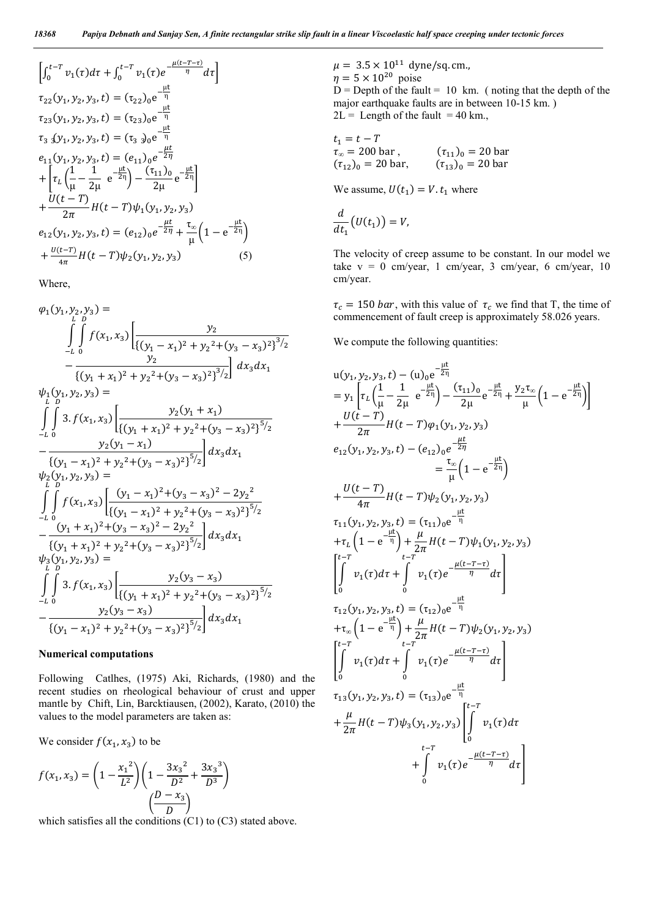$$
\begin{aligned}\n&\left[\int_{0}^{t-T} v_{1}(\tau) d\tau + \int_{0}^{t-T} v_{1}(\tau) e^{-\frac{\mu(t-T-\tau)}{\eta}} d\tau\right] \\
&\tau_{22}(y_{1}, y_{2}, y_{3}, t) = (\tau_{22})_{0} e^{-\frac{\mu t}{\eta}} \\
&\tau_{23}(y_{1}, y_{2}, y_{3}, t) = (\tau_{23})_{0} e^{-\frac{\mu t}{\eta}} \\
&\tau_{33}(y_{1}, y_{2}, y_{3}, t) = (\tau_{33})_{0} e^{-\frac{\mu t}{\eta}} \\
&e_{11}(y_{1}, y_{2}, y_{3}, t) = (e_{11})_{0} e^{-\frac{\mu t}{2\eta}} \\
&+ \left[\tau_{L}\left(\frac{1}{\mu} - \frac{1}{2\mu} e^{-\frac{\mu t}{2\eta}}\right) - \frac{(\tau_{11})_{0}}{2\mu} e^{-\frac{\mu t}{2\eta}}\right] \\
&+ \frac{U(t-T)}{2\pi} H(t-T) \psi_{1}(y_{1}, y_{2}, y_{3}) \\
&e_{12}(y_{1}, y_{2}, y_{3}, t) = (e_{12})_{0} e^{-\frac{\mu t}{2\eta}} + \frac{\tau_{\infty}}{\mu} \left(1 - e^{-\frac{\mu t}{2\eta}}\right) \\
&+ \frac{U(t-T)}{4\pi} H(t-T) \psi_{2}(y_{1}, y_{2}, y_{3})\n\end{aligned}
$$
(5)

Where,

$$
\varphi_{1}(y_{1}, y_{2}, y_{3}) = \int_{-L}^{L} \int_{0}^{D} f(x_{1}, x_{3}) \left[ \frac{y_{2}}{\{(y_{1} - x_{1})^{2} + y_{2}^{2} + (y_{3} - x_{3})^{2}\}^{3/2}} - \frac{y_{2}}{\{(y_{1} + x_{1})^{2} + y_{2}^{2} + (y_{3} - x_{3})^{2}\}^{3/2}} \right] dx_{3} dx_{1}
$$
\n
$$
\psi_{1}(y_{1}, y_{2}, y_{3}) = \int_{-L}^{D} \int_{0}^{3} 3 f(x_{1}, x_{3}) \left[ \frac{y_{2}(y_{1} + x_{1})}{\{(y_{1} + x_{1})^{2} + y_{2}^{2} + (y_{3} - x_{3})^{2}\}^{5/2}} - \frac{y_{2}(y_{1} - x_{1})}{\{(y_{1} - x_{1})^{2} + y_{2}^{2} + (y_{3} - x_{3})^{2}\}^{5/2}} \right] dx_{3} dx_{1}
$$
\n
$$
\psi_{2}(y_{1}, y_{2}, y_{3}) = \int_{-L}^{D} \int_{0}^{D} f(x_{1}, x_{3}) \left[ \frac{(y_{1} - x_{1})^{2} + (y_{3} - x_{3})^{2} - 2y_{2}^{2}}{\{(y_{1} + x_{1})^{2} + (y_{3} - x_{3})^{2} + (y_{3} - x_{3})^{2}\}^{5/2}} - \frac{(y_{1} + x_{1})^{2} + (y_{3} - x_{3})^{2} - 2y_{2}^{2}}{\{(y_{1} + x_{1})^{2} + y_{2}^{2} + (y_{3} - x_{3})^{2}\}^{5/2}} \right] dx_{3} dx_{1}
$$
\n
$$
\psi_{3}(y_{1}, y_{2}, y_{3}) = \int_{-L}^{D} \int_{0}^{D} 3 f(x_{1}, x_{3}) \left[ \frac{y_{2}(y_{3} - x_{3})}{\{(y_{1} + x_{1})^{2} + y_{2}^{2} + (y_{3} - x_{3})^{2}\}^{5/2}} - \frac{y_{2}(y_{3} - x_{3})}{\{(y_{1} - x_{1})^{2} + y_{2}^{2} + (y_{3} - x_{3})^{2}\}^{5/2}} \right] dx
$$

#### Numerical computations

Following Catlhes, (1975) Aki, Richards, (1980) and the recent studies on rheological behaviour of crust and upper mantle by Chift, Lin, Barcktiausen, (2002), Karato, (2010) the values to the model parameters are taken as:

We consider  $f(x_1, x_3)$  to be

$$
f(x_1, x_3) = \left(1 - \frac{x_1^2}{L^2}\right) \left(1 - \frac{3x_3^2}{D^2} + \frac{3x_3^3}{D^3}\right)
$$

$$
\left(\frac{D - x_3}{D}\right)
$$

which satisfies all the conditions (C1) to (C3) stated above.

 $\mu = 3.5 \times 10^{11}$  dyne/sq. cm.,  $\eta = 5 \times 10^{20}$  poise  $D =$  Depth of the fault = 10 km. (noting that the depth of the major earthquake faults are in between 10-15 km. )  $2L =$  Length of the fault = 40 km.,

$$
t_1 = t - T
$$
  
\n $\tau_{\infty} = 200 \text{ bar}$ ,  $(\tau_{11})_0 = 20 \text{ bar}$   
\n $(\tau_{12})_0 = 20 \text{ bar}$ ,  $(\tau_{13})_0 = 20 \text{ bar}$ 

We assume,  $U(t_1) = V \cdot t_1$  where

$$
\frac{d}{dt_1}\big(U(t_1)\big)=V,
$$

The velocity of creep assume to be constant. In our model we take  $v = 0$  cm/year, 1 cm/year, 3 cm/year, 6 cm/year, 10 cm/year.

 $\tau_c = 150$  bar, with this value of  $\tau_c$  we find that T, the time of commencement of fault creep is approximately 58.026 years.

We compute the following quantities:

$$
u(y_1, y_2, y_3, t) - (u)_{0}e^{-\frac{\mu t}{2\eta}}= y_1 \left[ \tau_L \left( \frac{1}{\mu} - \frac{1}{2\mu} e^{-\frac{\mu t}{2\eta}} \right) - \frac{(\tau_{11})_0}{2\mu} e^{-\frac{\mu t}{2\eta}} + \frac{y_2 \tau_{\infty}}{\mu} \left( 1 - e^{-\frac{\mu t}{2\eta}} \right) \right] + \frac{U(t - T)}{2\pi} H(t - T) \varphi_1(y_1, y_2, y_3) = z_1 (y_1, y_2, y_3, t) - (e_{12})_0 e^{-\frac{\mu t}{2\eta}} = \frac{\tau_{\infty}}{\mu} \left( 1 - e^{-\frac{\mu t}{2\eta}} \right) + \frac{U(t - T)}{4\pi} H(t - T) \psi_2(y_1, y_2, y_3) \tau_{11}(y_1, y_2, y_3, t) = (\tau_{11})_0 e^{-\frac{\mu t}{\eta}} + \tau_L \left( 1 - e^{-\frac{\mu t}{\eta}} \right) + \frac{\mu}{2\pi} H(t - T) \psi_1(y_1, y_2, y_3) \left[ \int_{0}^{t - T} v_t - \int_{t - T}^{t - T} v_t \right] = \int_{0}^{\tau_{12}} v_1(\tau) d\tau + \int_{0}^{t} v_1(\tau) e^{-\frac{\mu (t - T - \tau)}{\eta}} d\tau + \tau_{\infty} \left( 1 - e^{-\frac{\mu t}{\eta}} \right) + \frac{\mu}{2\pi} H(t - T) \psi_2(y_1, y_2, y_3) \left[ \int_{0}^{t - T} v_1(\tau) d\tau + \int_{0}^{t - T} v_1(\tau) e^{-\frac{\mu (t - T - \tau)}{\eta}} d\tau \right] \tau_{13}(y_1, y_2, y_3, t) = (\tau_{13})_0 e^{-\frac{\mu t}{\eta}} + \frac{\mu}{2\pi} H(t - T) \psi_3(y_1, y_2, y_3) \left[ \int_{0}^{t - T} v_1(\tau) d\tau + \int_{0}^{t - T} v_1(\tau) e^{-\frac{\mu (t - T - \tau)}{\eta}} d\tau
$$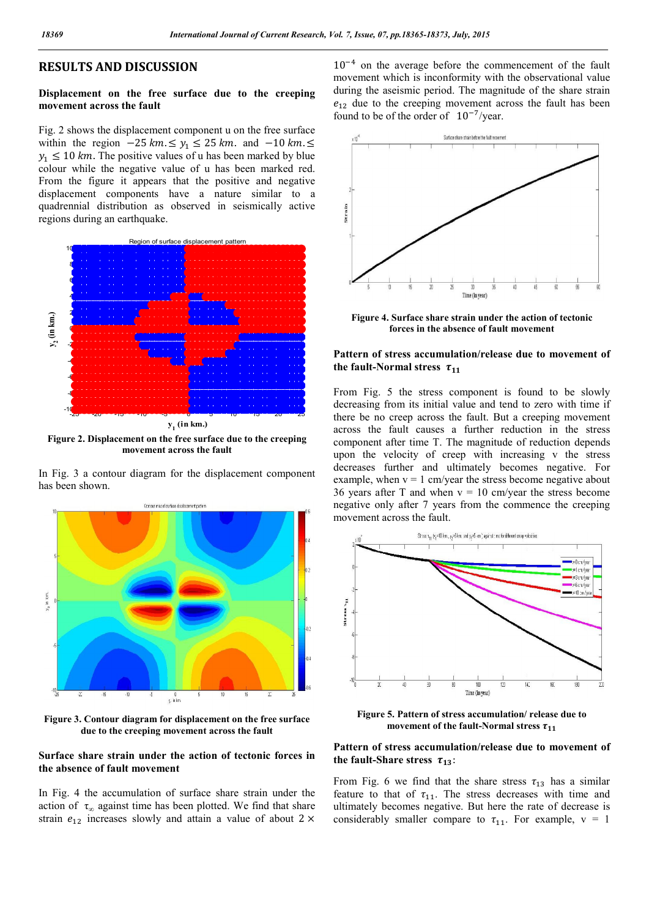# RESULTS AND DISCUSSION

# Displacement on the free surface due to the creeping movement across the fault

Fig. 2 shows the displacement component u on the free surface within the region  $-25 \, km \leq y_1 \leq 25 \, km$ . and  $-10 \, km \leq$  $y_1 \le 10$  km. The positive values of u has been marked by blue colour while the negative value of u has been marked red. From the figure it appears that the positive and negative displacement components have a nature similar to a quadrennial distribution as observed in seismically active regions during an earthquake.



Figure 2. Displacement on the free surface due to the creeping

movement across the fault

In Fig. 3 a contour diagram for the displacement component has been shown.



Figure 3. Contour diagram for displacement on the free surface due to the creeping movement across the fault

# Surface share strain under the action of tectonic forces in the absence of fault movement

In Fig. 4 the accumulation of surface share strain under the action of  $\tau_{\infty}$  against time has been plotted. We find that share strain  $e_{12}$  increases slowly and attain a value of about 2  $\times$ 

 $10^{-4}$  on the average before the commencement of the fault movement which is inconformity with the observational value during the aseismic period. The magnitude of the share strain  $e_{12}$  due to the creeping movement across the fault has been found to be of the order of  $10^{-7}$ /year.



Figure 4. Surface share strain under the action of tectonic forces in the absence of fault movement

## Pattern of stress accumulation/release due to movement of the fault-Normal stress  $\tau_{11}$

From Fig. 5 the stress component is found to be slowly decreasing from its initial value and tend to zero with time if there be no creep across the fault. But a creeping movement across the fault causes a further reduction in the stress component after time T. The magnitude of reduction depends upon the velocity of creep with increasing v the stress decreases further and ultimately becomes negative. For example, when  $v = 1$  cm/year the stress become negative about 36 years after T and when  $v = 10$  cm/year the stress become negative only after 7 years from the commence the creeping movement across the fault.



Figure 5. Pattern of stress accumulation/ release due to movement of the fault-Normal stress  $\tau_{11}$ 

#### Pattern of stress accumulation/release due to movement of the fault-Share stress  $\tau_{13}$ :

From Fig. 6 we find that the share stress  $\tau_{13}$  has a similar feature to that of  $\tau_{11}$ . The stress decreases with time and ultimately becomes negative. But here the rate of decrease is considerably smaller compare to  $\tau_{11}$ . For example,  $v = 1$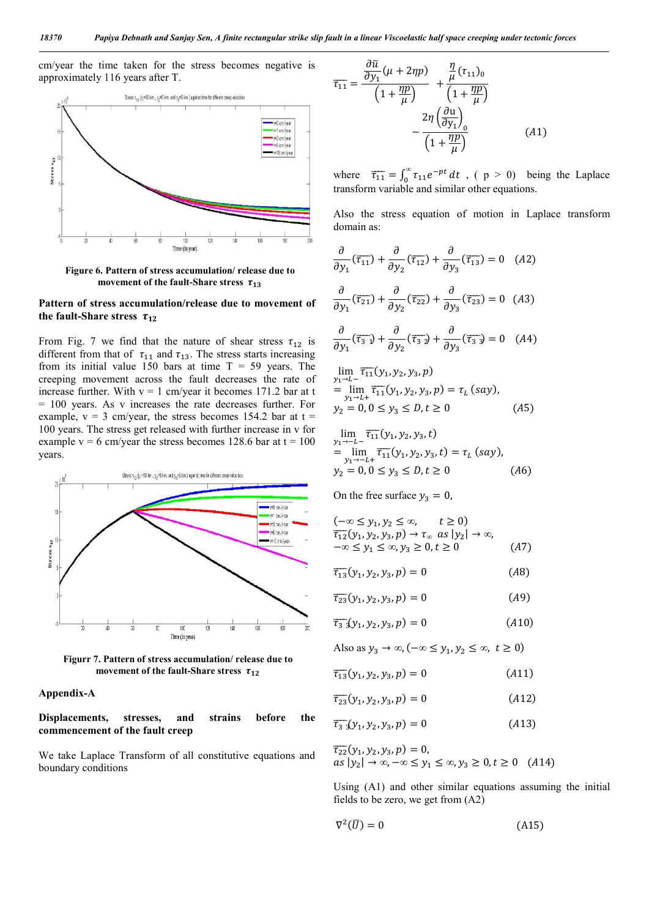cm/year the time taken for the stress becomes negative is approximately 116 years after T.



Figure 6. Pattern of stress accumulation/ release due to movement of the fault-Share stress  $\tau_{13}$ 

## Pattern of stress accumulation/release due to movement of the fault-Share stress  $\tau_{12}$

From Fig. 7 we find that the nature of shear stress  $\tau_{12}$  is different from that of  $\tau_{11}$  and  $\tau_{13}$ . The stress starts increasing from its initial value 150 bars at time  $T = 59$  years. The creeping movement across the fault decreases the rate of increase further. With  $v = 1$  cm/year it becomes 171.2 bar at t = 100 years. As v increases the rate decreases further. For example,  $v = 3$  cm/year, the stress becomes 154.2 bar at  $t =$ 100 years. The stress get released with further increase in v for example  $v = 6$  cm/year the stress becomes 128.6 bar at  $t = 100$ years.



Figurr 7. Pattern of stress accumulation/ release due to movement of the fault-Share stress  $\tau_{12}$ 

#### Appendix-A

Displacements, stresses, and strains before the commencement of the fault creep

We take Laplace Transform of all constitutive equations and boundary conditions

$$
\overline{\tau_{11}} = \frac{\frac{\partial \overline{u}}{\partial y_1} (\mu + 2\eta p)}{\left(1 + \frac{\eta p}{\mu}\right)} + \frac{\frac{\eta}{\mu} (\tau_{11})_0}{\left(1 + \frac{\eta p}{\mu}\right)} - \frac{2\eta \left(\frac{\partial u}{\partial y_1}\right)_0}{\left(1 + \frac{\eta p}{\mu}\right)}
$$
(A1)

where  $\overline{\tau_{11}} = \int_0^\infty \tau_{11} e^{-pt} dt$ , ( p > 0) being the Laplace transform variable and similar other equations.

Also the stress equation of motion in Laplace transform domain as:

$$
\frac{\partial}{\partial y_1} (\overline{\tau}_{11}) + \frac{\partial}{\partial y_2} (\overline{\tau}_{12}) + \frac{\partial}{\partial y_3} (\overline{\tau}_{13}) = 0 \quad (A2)
$$

$$
\frac{\partial}{\partial y_1} (\overline{\tau}_{21}) + \frac{\partial}{\partial y_2} (\overline{\tau}_{22}) + \frac{\partial}{\partial y_3} (\overline{\tau}_{23}) = 0 \quad (A3)
$$

$$
\frac{\partial}{\partial y_1} (\overline{\tau}_{31}) + \frac{\partial}{\partial y_2} (\overline{\tau}_{32}) + \frac{\partial}{\partial y_3} (\overline{\tau}_{33}) = 0 \quad (A4)
$$

$$
\lim_{y_1 \to L^-} \overline{\tau_{11}}(y_1, y_2, y_3, p)
$$
\n
$$
= \lim_{y_1 \to L^+} \overline{\tau_{11}}(y_1, y_2, y_3, p) = \tau_L (say),
$$
\n
$$
y_2 = 0, 0 \le y_3 \le D, t \ge 0
$$
\n(A5)

$$
\lim_{y_1 \to -L^-} \overline{\tau_{11}}(y_1, y_2, y_3, t)
$$
\n
$$
= \lim_{y_1 \to -L^+} \overline{\tau_{11}}(y_1, y_2, y_3, t) = \tau_L \text{ (say)},
$$
\n
$$
y_2 = 0, 0 \le y_3 \le D, t \ge 0
$$
\n(A6)

On the free surface  $y_3 = 0$ ,

$$
(-\infty \le y_1, y_2 \le \infty, \quad t \ge 0)
$$
  
\n
$$
\overline{\tau_{12}}(y_1, y_2, y_3, p) \to \tau_{\infty} \text{ as } |y_2| \to \infty,
$$
  
\n
$$
-\infty \le y_1 \le \infty, y_3 \ge 0, t \ge 0
$$
 (A7)

 $\overline{\tau_{13}}(y_1, y_2, y_3, p) = 0$  (A8)

$$
\overline{\tau_{23}}(y_1, y_2, y_3, p) = 0 \tag{A9}
$$

$$
\overline{\tau_{33}}(y_1, y_2, y_3, p) = 0 \tag{A10}
$$

Also as  $y_3 \to \infty, (-\infty \le y_1, y_2 \le \infty, t \ge 0)$ 

 $\overline{\tau_{13}}(y_1, y_2, y_3, p) = 0$  (A11)

$$
\overline{\tau_{23}}(y_1, y_2, y_3, p) = 0 \tag{A12}
$$

$$
\overline{\tau_{33}}(y_1, y_2, y_3, p) = 0 \tag{A13}
$$

$$
\begin{aligned} \overline{\tau_{22}}(y_1, y_2, y_3, p) &= 0, \\ \n\alpha s \mid y_2 \mid \to \infty, -\infty \le y_1 \le \infty, y_3 \ge 0, t \ge 0 \quad (A14) \n\end{aligned}
$$

Using (A1) and other similar equations assuming the initial fields to be zero, we get from (A2)

$$
\nabla^2(\overline{U}) = 0 \tag{A15}
$$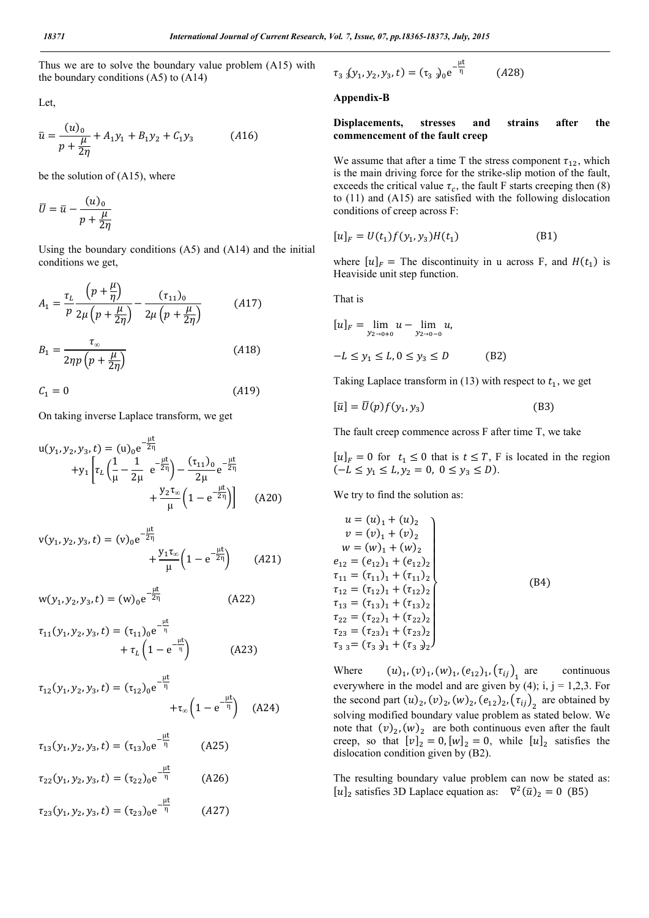Thus we are to solve the boundary value problem (A15) with the boundary conditions  $(A5)$  to  $(A14)$ 

Let,

$$
\bar{u} = \frac{(u)_0}{p + \frac{\mu}{2\eta}} + A_1 y_1 + B_1 y_2 + C_1 y_3 \tag{A16}
$$

be the solution of (A15), where

$$
\overline{U} = \overline{u} - \frac{(u)_0}{p + \frac{\mu}{2\eta}}
$$

Using the boundary conditions (A5) and (A14) and the initial conditions we get,

$$
A_{1} = \frac{\tau_{L}}{p} \frac{\left(p + \frac{\mu}{\eta}\right)}{2\mu\left(p + \frac{\mu}{2\eta}\right)} - \frac{(\tau_{11})_{0}}{2\mu\left(p + \frac{\mu}{2\eta}\right)}
$$
(A17)  

$$
B_{1} = \frac{\tau_{\infty}}{2\eta p\left(p + \frac{\mu}{2\eta}\right)}
$$
(A18)

 $C_1 = 0$  (A19)

On taking inverse Laplace transform, we get

$$
u(y_1, y_2, y_3, t) = (u)_{0}e^{-\frac{\mu t}{2\eta}} + y_1 \left[ \tau_L \left( \frac{1}{\mu} - \frac{1}{2\mu} e^{-\frac{\mu t}{2\eta}} \right) - \frac{(\tau_{11})_{0}}{2\mu} e^{-\frac{\mu t}{2\eta}} + \frac{y_2 \tau_{\infty}}{\mu} \left( 1 - e^{-\frac{\mu t}{2\eta}} \right) \right]
$$
(A20)

$$
v(y_1, y_2, y_3, t) = (v)_0 e^{-\frac{\mu t}{2\eta}} + \frac{y_1 \tau_{\infty}}{\mu} \left(1 - e^{-\frac{\mu t}{2\eta}}\right) \qquad (A21)
$$

$$
w(y_1, y_2, y_3, t) = (w)_0 e^{-\frac{\mu t}{2\eta}}
$$
 (A22)

$$
\tau_{11}(y_1, y_2, y_3, t) = (\tau_{11})_0 e^{-\frac{\mu t}{\eta}} + \tau_L \left(1 - e^{-\frac{\mu t}{\eta}}\right)
$$
(A23)

$$
\tau_{12}(y_1, y_2, y_3, t) = (\tau_{12})_0 e^{-\frac{\mu t}{\eta}} + \tau_{\infty} \left(1 - e^{-\frac{\mu t}{\eta}}\right) \quad (A24)
$$

$$
\tau_{13}(y_1, y_2, y_3, t) = (\tau_{13})_0 e^{-\frac{\mu t}{\eta}}
$$
(A25)  

$$
\tau_{22}(y_1, y_2, y_3, t) = (\tau_{22})_0 e^{-\frac{\mu t}{\eta}}
$$
(A26)  

$$
\tau_{23}(y_1, y_2, y_3, t) = (\tau_{23})_0 e^{-\frac{\mu t}{\eta}}
$$
(A27)

$$
\tau_{33}(y_1, y_2, y_3, t) = (\tau_{33})_0 e^{-\frac{\mu t}{\eta}}
$$
 (A28)

#### Appendix-B

Displacements, stresses and strains after the commencement of the fault creep

We assume that after a time T the stress component  $\tau_{12}$ , which is the main driving force for the strike-slip motion of the fault, exceeds the critical value  $\tau_c$ , the fault F starts creeping then (8) to (11) and (A15) are satisfied with the following dislocation conditions of creep across F:

$$
[u]_F = U(t_1)f(y_1, y_3)H(t_1)
$$
 (B1)

where  $[u]_F$  = The discontinuity in u across F, and  $H(t_1)$  is Heaviside unit step function.

That is

$$
[u]_F = \lim_{y_{2 \to 0+0}} u - \lim_{y_{2 \to 0-0}} u,
$$
  
-L \le y\_1 \le L, 0 \le y\_3 \le D \t(B2)

Taking Laplace transform in (13) with respect to  $t_1$ , we get

$$
[\bar{u}] = \bar{U}(p)f(y_1, y_3)
$$
 (B3)

The fault creep commence across F after time T, we take

 $[u]_F = 0$  for  $t_1 \le 0$  that is  $t \le T$ , F is located in the region  $(-L \le y_1 \le L, y_2 = 0, 0 \le y_3 \le D).$ 

We try to find the solution as:

$$
u = (u)1 + (u)2\n v = (v)1 + (v)2\n w = (w)1 + (w)2\n e12 = (e12)1 + (e12)2\n \tau11 = (\tau11)1 + (\tau11)2\n \tau12 = (\tau12)1 + (\tau12)2\n \tau13 = (\tau13)1 + (\tau13)2\n \tau22 = (\tau22)1 + (\tau22)2\n \tau23 = (\tau23)1 + (\tau23)2\n \tau33 = (\tau33)1 + (\tau33)2
$$

Where  $(u)_1$ ,  $(v)_1$ ,  $(w)_1$ ,  $(e_{12})_1$ ,  $(\tau_{ij})_1$  are continuous everywhere in the model and are given by (4); i,  $j = 1,2,3$ . For the second part  $(u)_2$ ,  $(v)_2$ ,  $(w)_2$ ,  $(e_{12})_2$ ,  $(\tau_{ij})_2$  are obtained by solving modified boundary value problem as stated below. We note that  $(v)_2$ ,  $(w)_2$  are both continuous even after the fault creep, so that  $[v]_2 = 0$ ,  $[w]_2 = 0$ , while  $[u]_2$  satisfies the dislocation condition given by (B2).

The resulting boundary value problem can now be stated as:  $[u]_2$  satisfies 3D Laplace equation as:  $\nabla^2(\bar{u})_2 = 0$  (B5)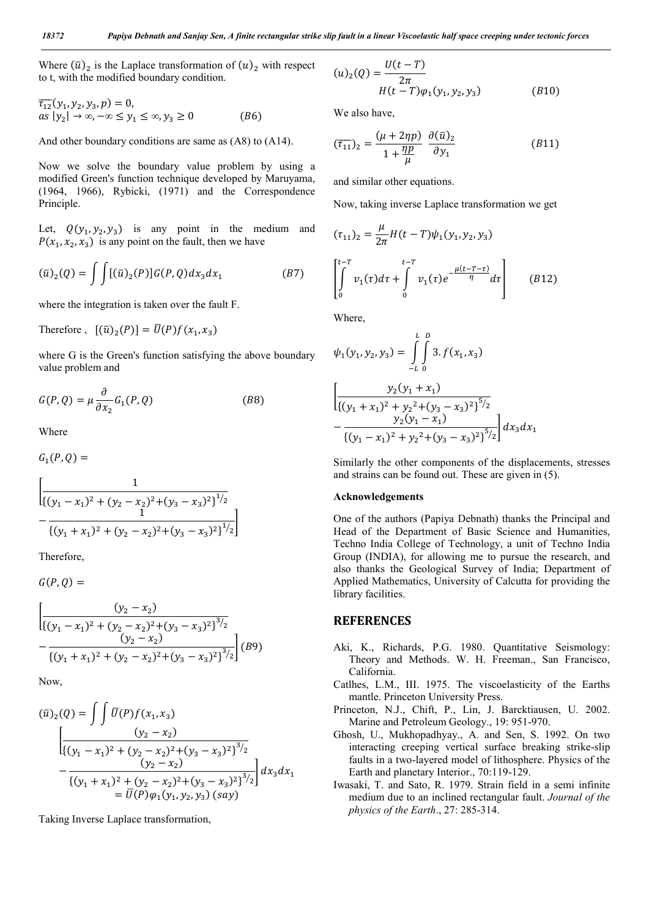Where  $(\bar{u})_2$  is the Laplace transformation of  $(u)_2$  with respect to t, with the modified boundary condition.

$$
\begin{aligned} \overline{\tau_{12}}(y_1, y_2, y_3, p) &= 0, \\ \text{as } |y_2| &\to \infty, -\infty \le y_1 \le \infty, y_3 \ge 0 \end{aligned} \tag{B6}
$$

And other boundary conditions are same as (A8) to (A14).

Now we solve the boundary value problem by using a modified Green's function technique developed by Maruyama, (1964, 1966), Rybicki, (1971) and the Correspondence Principle.

Let,  $Q(y_1, y_2, y_3)$  is any point in the medium and  $P(x_1, x_2, x_3)$  is any point on the fault, then we have

$$
(\bar{u})_2(Q) = \int \int [(\bar{u})_2(P)] G(P,Q) dx_3 dx_1 \qquad (B7)
$$

where the integration is taken over the fault F.

Therefore,  $[(\bar{u})_2(P)] = \overline{U}(P)f(x_1, x_3)$ 

where G is the Green's function satisfying the above boundary value problem and

$$
G(P,Q) = \mu \frac{\partial}{\partial x_2} G_1(P,Q)
$$
 (B8)

Where

 $G_1(P,Q) =$ 

$$
\left[\frac{1}{\{(y_1 - x_1)^2 + (y_2 - x_2)^2 + (y_3 - x_3)^2\}^{1/2}} - \frac{1}{\{(y_1 + x_1)^2 + (y_2 - x_2)^2 + (y_3 - x_3)^2\}^{1/2}}\right]
$$

Therefore,

 $G(P, Q) =$ 

$$
\left[\frac{(y_2 - x_2)}{\{(y_1 - x_1)^2 + (y_2 - x_2)^2 + (y_3 - x_3)^2\}^{3/2}} - \frac{(y_2 - x_2)}{\{(y_1 + x_1)^2 + (y_2 - x_2)^2 + (y_3 - x_3)^2\}^{3/2}}\right] (B9)
$$

Now,

$$
(\bar{u})_2(Q) = \int \int \bar{U}(P)f(x_1, x_3)
$$
  

$$
\left[ \frac{(y_2 - x_2)}{((y_1 - x_1)^2 + (y_2 - x_2)^2 + (y_3 - x_3)^2)^{3/2}} - \frac{(y_2 - x_2)}{((y_1 + x_1)^2 + (y_2 - x_2)^2 + (y_3 - x_3)^2)^{3/2}} \right] dx_3 dx_1
$$
  

$$
= \bar{U}(P)\varphi_1(y_1, y_2, y_3) (say)
$$

Taking Inverse Laplace transformation,

$$
(u)_2(Q) = \frac{U(t - T)}{2\pi}
$$
  
H(t - T)\varphi\_1(y\_1, y\_2, y\_3) \t\t (B10)

We also have,

$$
(\overline{\tau}_{11})_2 = \frac{(\mu + 2\eta p)}{1 + \frac{\eta p}{\mu}} \frac{\partial(\overline{u})_2}{\partial y_1}
$$
 (B11)

and similar other equations.

Now, taking inverse Laplace transformation we get

$$
(\tau_{11})_2 = \frac{\mu}{2\pi} H(t - T) \psi_1(y_1, y_2, y_3)
$$
  

$$
\int_0^{t - T} v_1(\tau) d\tau + \int_0^{t - T} v_1(\tau) e^{-\frac{\mu(t - T - \tau)}{\eta}} d\tau
$$
 (B12)

Where,

$$
\psi_1(y_1, y_2, y_3) = \int_{-L}^{L} \int_{0}^{D} 3 \cdot f(x_1, x_3)
$$

$$
\left[ \frac{y_2(y_1 + x_1)}{\{(y_1 + x_1)^2 + y_2^2 + (y_3 - x_3)^2\}^{5/2}} - \frac{y_2(y_1 - x_1)}{\{(y_1 - x_1)^2 + y_2^2 + (y_3 - x_3)^2\}^{5/2}} \right] dx_3 dx_1
$$

Similarly the other components of the displacements, stresses and strains can be found out. These are given in (5).

#### Acknowledgements

One of the authors (Papiya Debnath) thanks the Principal and Head of the Department of Basic Science and Humanities, Techno India College of Technology, a unit of Techno India Group (INDIA), for allowing me to pursue the research, and also thanks the Geological Survey of India; Department of Applied Mathematics, University of Calcutta for providing the library facilities.

#### **REFERENCES**

- Aki, K., Richards, P.G. 1980. Quantitative Seismology: Theory and Methods. W. H. Freeman., San Francisco, California.
- Catlhes, L.M., III. 1975. The viscoelasticity of the Earths mantle. Princeton University Press.
- Princeton, N.J., Chift, P., Lin, J. Barcktiausen, U. 2002. Marine and Petroleum Geology., 19: 951-970.
- Ghosh, U., Mukhopadhyay., A. and Sen, S. 1992. On two interacting creeping vertical surface breaking strike-slip faults in a two-layered model of lithosphere. Physics of the Earth and planetary Interior., 70:119-129.
- Iwasaki, T. and Sato, R. 1979. Strain field in a semi infinite medium due to an inclined rectangular fault. *Journal of the physics of the Earth*., 27: 285-314.